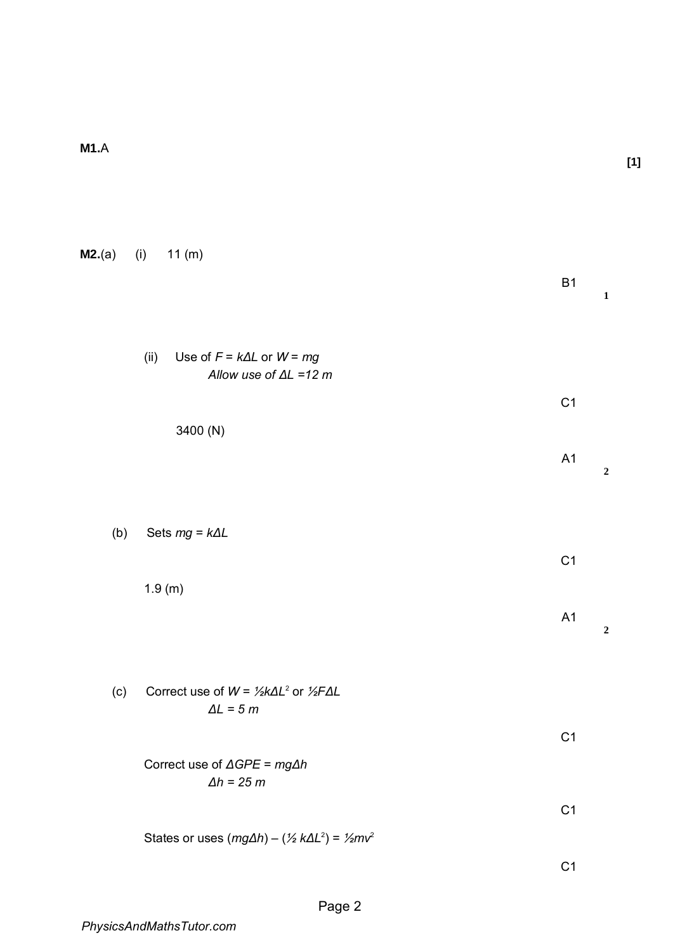| M2.(a) | (i)<br>11(m)                                                                              |                |                  |
|--------|-------------------------------------------------------------------------------------------|----------------|------------------|
|        |                                                                                           | <b>B1</b>      | $\mathbf 1$      |
|        | Use of $F = k\Delta L$ or $W = mg$<br>(ii)<br>Allow use of $\Delta L = 12$ m              |                |                  |
|        |                                                                                           | C <sub>1</sub> |                  |
|        | 3400 (N)                                                                                  |                |                  |
|        |                                                                                           | A1             | $\boldsymbol{2}$ |
|        |                                                                                           |                |                  |
| (b)    | Sets $mg = k\Delta L$                                                                     |                |                  |
|        |                                                                                           | C <sub>1</sub> |                  |
|        | 1.9(m)                                                                                    |                |                  |
|        |                                                                                           | A <sub>1</sub> | $\overline{2}$   |
|        |                                                                                           |                |                  |
| (c)    | Correct use of $W = \frac{1}{2}k\Delta L^2$ or $\frac{1}{2}F\Delta L$<br>$\Delta L = 5 m$ |                |                  |
|        |                                                                                           | C <sub>1</sub> |                  |
|        | Correct use of $\triangle GPE = mg\triangle h$<br>$\Delta h = 25 m$                       |                |                  |
|        |                                                                                           | C <sub>1</sub> |                  |
|        | States or uses $(mg\Delta h) - (\frac{1}{2}k\Delta L^2) = \frac{1}{2}mv^2$                |                |                  |

 $C<sub>1</sub>$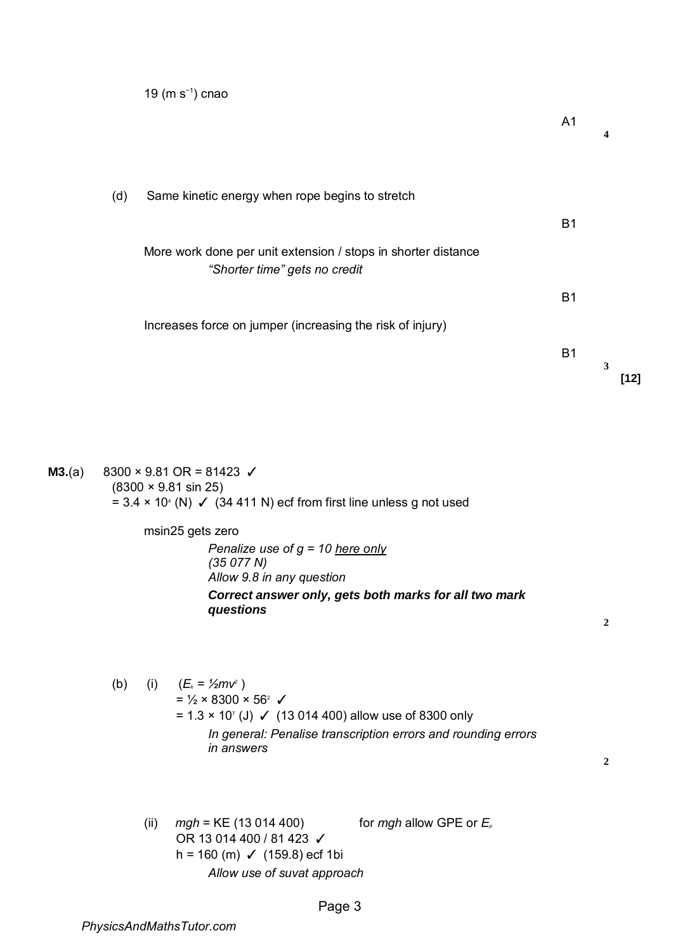19 (m s−1) cnao

A1

**4**

(d) Same kinetic energy when rope begins to stretch

More work done per unit extension / stops in shorter distance *"Shorter time" gets no credit* 

Increases force on jumper (increasing the risk of injury)

B1

B1

B1

**[12]** 

**3**

**M3.**(a)  $8300 \times 9.81 \text{ OR} = 81423 \checkmark$ (8300 × 9.81 sin 25) =  $3.4 \times 10^4$  (N)  $\checkmark$  (34 411 N) ecf from first line unless g not used

> msin25 gets zero *Penalize use of g = 10 here only (35 077 N) Allow 9.8 in any question Correct answer only, gets both marks for all two mark questions*

> > **2**

(b) (i)  $(E_{k} = \frac{1}{2}mv^{2})$  $=$  1/<sub>2</sub>  $\times$  8300  $\times$  56<sup>2</sup>  $\checkmark$ = 1.3 × 10<sup>7</sup> (J) ✓ (13 014 400) allow use of 8300 only *In general: Penalise transcription errors and rounding errors in answers* 

**2**

(ii)  $mgh = KE$  (13 014 400) for  $mgh$  allow GPE or  $E_p$ OR 13 014 400 / 81 423 √ h = 160 (m)  $\checkmark$  (159.8) ecf 1bi *Allow use of suvat approach*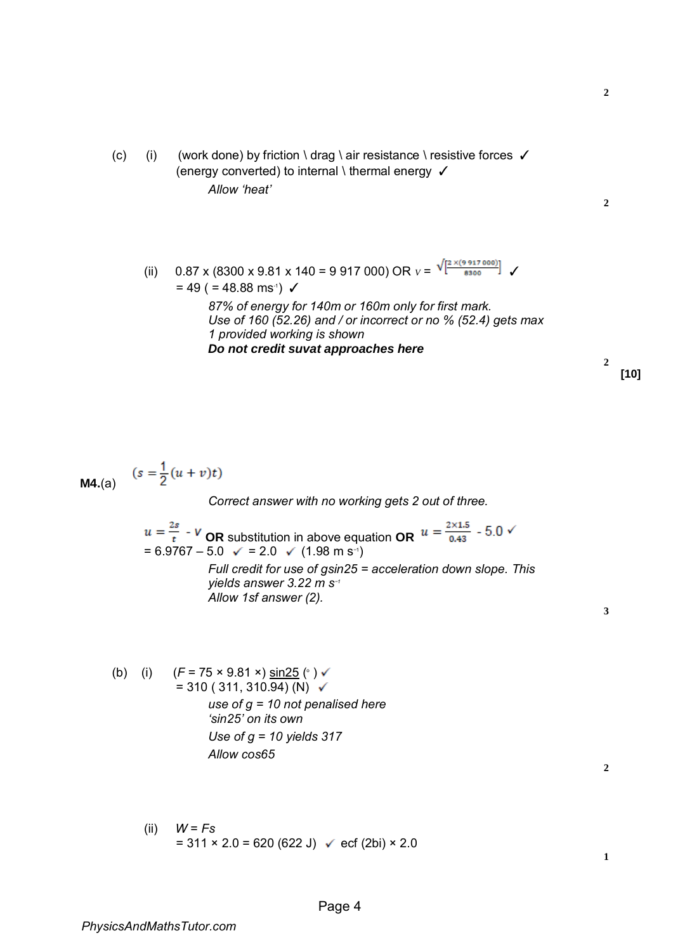(c) (i) (work done) by friction \ drag \ air resistance \ resistive forces  $\checkmark$ (energy converted) to internal \ thermal energy  $\checkmark$ *Allow 'heat'* 

(ii) 0.87 x (8300 x 9.81 x 140 = 9 917 000) OR  $V = \frac{\sqrt{2 \times (9.917000)}}{8300}$   $\checkmark$ 

$$
\boldsymbol{2}
$$

**2**

= 49 ( = 48.88 ms-1 ) ✓ *87% of energy for 140m or 160m only for first mark. Use of 160 (52.26) and / or incorrect or no % (52.4) gets max 1 provided working is shown Do not credit suvat approaches here* 

**2 [10]** 

**M4.**(a) 
$$
(s = \frac{1}{2}(u + v)t)
$$

 $\lambda$ 

*Correct answer with no working gets 2 out of three.* 

$$
u = \frac{2s}{t} - V
$$
 OR substitution in above equation OR  $u = \frac{2 \times 1.5}{0.43} - 5.0$    
= 6.9767 - 5.0  $\checkmark$  = 2.0  $\checkmark$  (1.98 m s<sup>-1</sup>)  
Full credit for use of gsin25 = acceleration down slope. This yields answer 3.22 m s<sup>-1</sup>  
Allow 1sf answer (2).

**3**

(b) (i)  $(F = 75 \times 9.81 \times) \sin 25$  (°)  $= 310 (311, 310.94)$  (N)  $\checkmark$ *use of g = 10 not penalised here 'sin25' on its own Use of g = 10 yields 317 Allow cos65* 

(ii) 
$$
W = Fs
$$
  
= 311 × 2.0 = 620 (622 J)  $\checkmark$  ecf (2bi) × 2.0

**2**

**1**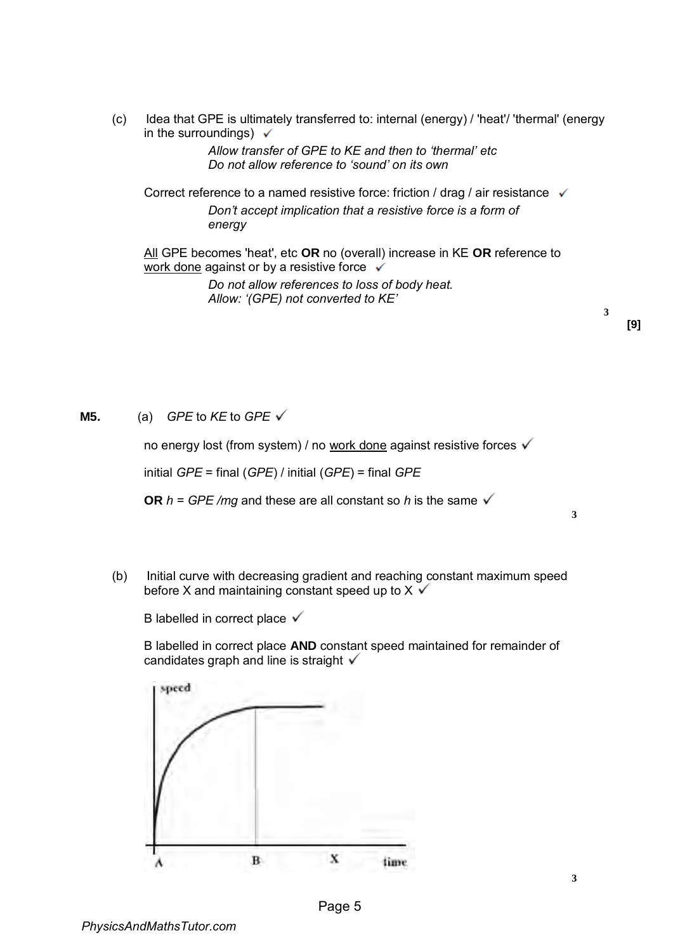(c) Idea that GPE is ultimately transferred to: internal (energy) / 'heat'/ 'thermal' (energy in the surroundings)  $\checkmark$ 

> *Allow transfer of GPE to KE and then to 'thermal' etc Do not allow reference to 'sound' on its own*

Correct reference to a named resistive force: friction / drag / air resistance  $\checkmark$ *Don't accept implication that a resistive force is a form of energy* 

All GPE becomes 'heat', etc **OR** no (overall) increase in KE **OR** reference to work done against or by a resistive force  $\checkmark$ 

> *Do not allow references to loss of body heat. Allow: '(GPE) not converted to KE'*

**3**

**3** 

**M5.** (a) *GPE* to *KE* to *GPE*

no energy lost (from system) / no work done against resistive forces √

initial *GPE* = final (*GPE*) / initial (*GPE*) = final *GPE* 

**OR**  $h = GPE/mq$  and these are all constant so h is the same  $\checkmark$ 

(b) Initial curve with decreasing gradient and reaching constant maximum speed before X and maintaining constant speed up to  $X \checkmark$ 

B labelled in correct place  $\checkmark$ 

B labelled in correct place **AND** constant speed maintained for remainder of candidates graph and line is straight  $\checkmark$ 

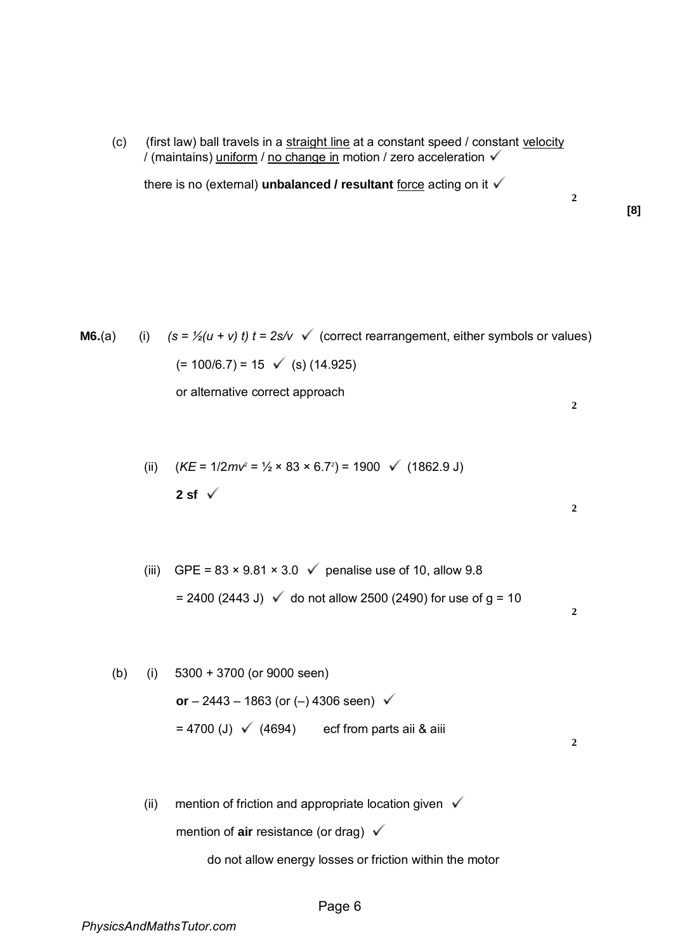(c) (first law) ball travels in a straight line at a constant speed / constant velocity / (maintains) uniform / no change in motion / zero acceleration  $\checkmark$ 

there is no (external) **unbalanced / resultant** force acting on it  $\checkmark$ 

**[8]** 

**2** 

**2** 

**2** 

**2** 

- **M6.**(a) (i)  $(s = \frac{1}{2}(u + v) t$   $t = 2s/v$   $\checkmark$  (correct rearrangement, either symbols or values)  $(= 100/6.7) = 15 \checkmark$  (s) (14.925) or alternative correct approach **2** 
	- (ii)  $(KE = 1/2mv^2 = 1/2 \times 83 \times 6.7^2) = 1900 \checkmark$  (1862.9 J) 2 sf  $\sqrt{ }$
	- (iii) GPE =  $83 \times 9.81 \times 3.0$   $\checkmark$  penalise use of 10, allow 9.8 = 2400 (2443 J)  $\checkmark$  do not allow 2500 (2490) for use of g = 10
	- (b) (i) 5300 + 3700 (or 9000 seen) **or**  $- 2443 - 1863$  (or ( $-$ ) 4306 seen)  $\checkmark$  $= 4700$  (J)  $\checkmark$  (4694) ecf from parts aii & aiii
		- (ii) mention of friction and appropriate location given  $\sqrt{}$ mention of **air** resistance (or drag)

do not allow energy losses or friction within the motor